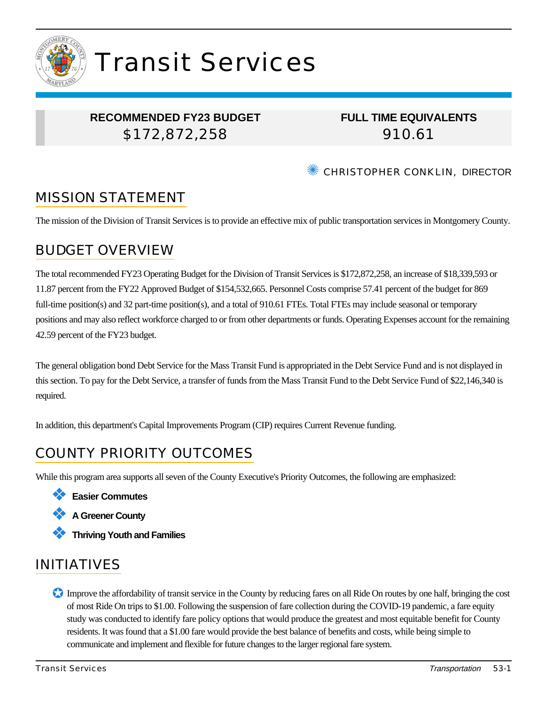

# Transit Services

## **RECOMMENDED FY23 BUDGET** \$172,872,258

**FULL TIME EQUIVALENTS** 910.61

**WE CHRISTOPHER CONKLIN, DIRECTOR** 

# MISSION STATEMENT

The mission of the Division of Transit Services is to provide an effective mix of public transportation services in Montgomery County.

## BUDGET OVERVIEW

The total recommended FY23 Operating Budget for the Division of Transit Services is \$172,872,258, an increase of \$18,339,593 or 11.87 percent from the FY22 Approved Budget of \$154,532,665. Personnel Costs comprise 57.41 percent of the budget for 869 full-time position(s) and 32 part-time position(s), and a total of 910.61 FTEs. Total FTEs may include seasonal or temporary positions and may also reflect workforce charged to or from other departments or funds. Operating Expenses account for the remaining 42.59 percent of the FY23 budget.

The general obligation bond Debt Service for the Mass Transit Fund is appropriated in the Debt Service Fund and is not displayed in this section. To pay for the Debt Service, a transfer of funds from the Mass Transit Fund to the Debt Service Fund of \$22,146,340 is required.

In addition, this department's Capital Improvements Program (CIP) requires Current Revenue funding.

# COUNTY PRIORITY OUTCOMES

While this program area supports all seven of the County Executive's Priority Outcomes, the following are emphasized:





❖ **Thriving Youth and Families**

# INITIATIVES

✪ Improve the affordability of transit service in the County by reducing fares on all Ride On routes by one half, bringing the cost of most Ride On trips to \$1.00. Following the suspension of fare collection during the COVID-19 pandemic, a fare equity study was conducted to identify fare policy options that would produce the greatest and most equitable benefit for County residents. It was found that a \$1.00 fare would provide the best balance of benefits and costs, while being simple to communicate and implement and flexible for future changes to the larger regional fare system.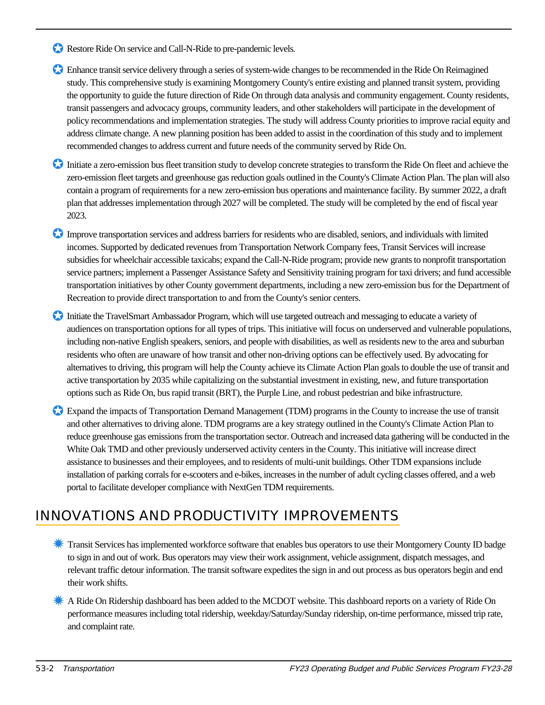- Restore Ride On service and Call-N-Ride to pre-pandemic levels.
- ✪ Enhance transit service delivery through a series of system-wide changes to be recommended in the Ride On Reimagined study. This comprehensive study is examining Montgomery County's entire existing and planned transit system, providing the opportunity to guide the future direction of Ride On through data analysis and community engagement. County residents, transit passengers and advocacy groups, community leaders, and other stakeholders will participate in the development of policy recommendations and implementation strategies. The study will address County priorities to improve racial equity and address climate change. A new planning position has been added to assist in the coordination of this study and to implement recommended changes to address current and future needs of the community served by Ride On.
- ✪ Initiate a zero-emission bus fleet transition study to develop concrete strategies to transform the Ride On fleet and achieve the zero-emission fleet targets and greenhouse gas reduction goals outlined in the County's Climate Action Plan. The plan will also contain a program of requirements for a new zero-emission bus operations and maintenance facility. By summer 2022, a draft plan that addresses implementation through 2027 will be completed. The study will be completed by the end of fiscal year 2023.
- ✪ Improve transportation services and address barriers for residents who are disabled, seniors, and individuals with limited incomes. Supported by dedicated revenues from Transportation Network Company fees, Transit Services will increase subsidies for wheelchair accessible taxicabs; expand the Call-N-Ride program; provide new grants to nonprofit transportation service partners; implement a Passenger Assistance Safety and Sensitivity training program for taxi drivers; and fund accessible transportation initiatives by other County government departments, including a new zero-emission bus for the Department of Recreation to provide direct transportation to and from the County's senior centers.
- ✪ Initiate the TravelSmart Ambassador Program, which will use targeted outreach and messaging to educate a variety of audiences on transportation options for all types of trips. This initiative will focus on underserved and vulnerable populations, including non-native English speakers, seniors, and people with disabilities, as well as residents new to the area and suburban residents who often are unaware of how transit and other non-driving options can be effectively used. By advocating for alternatives to driving, this program will help the County achieve its Climate Action Plan goals to double the use of transit and active transportation by 2035 while capitalizing on the substantial investment in existing, new, and future transportation options such as Ride On, bus rapid transit (BRT), the Purple Line, and robust pedestrian and bike infrastructure.
- ✪ Expand the impacts of Transportation Demand Management (TDM) programs in the County to increase the use of transit and other alternatives to driving alone. TDM programs are a key strategy outlined in the County's Climate Action Plan to reduce greenhouse gas emissions from the transportation sector. Outreach and increased data gathering will be conducted in the White Oak TMD and other previously underserved activity centers in the County. This initiative will increase direct assistance to businesses and their employees, and to residents of multi-unit buildings. Other TDM expansions include installation of parking corrals for e-scooters and e-bikes, increases in the number of adult cycling classes offered, and a web portal to facilitate developer compliance with NextGen TDM requirements.

# INNOVATIONS AND PRODUCTIVITY IMPROVEMENTS

- ✹ Transit Services has implemented workforce software that enables bus operators to use their Montgomery County ID badge to sign in and out of work. Bus operators may view their work assignment, vehicle assignment, dispatch messages, and relevant traffic detour information. The transit software expedites the sign in and out process as bus operators begin and end their work shifts.
- ✹ A Ride On Ridership dashboard has been added to the MCDOT website. This dashboard reports on a variety of Ride On performance measures including total ridership, weekday/Saturday/Sunday ridership, on-time performance, missed trip rate, and complaint rate.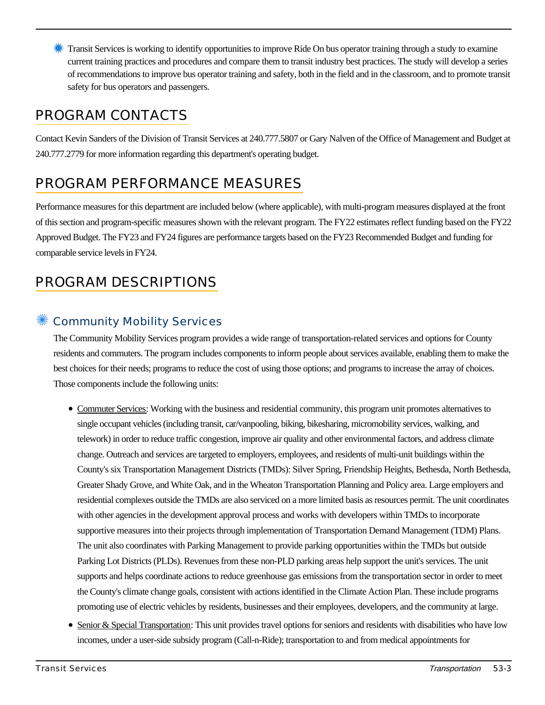**X** Transit Services is working to identify opportunities to improve Ride On bus operator training through a study to examine current training practices and procedures and compare them to transit industry best practices. The study will develop a series of recommendations to improve bus operator training and safety, both in the field and in the classroom, and to promote transit safety for bus operators and passengers.

# PROGRAM CONTACTS

Contact Kevin Sanders of the Division of Transit Services at 240.777.5807 or Gary Nalven of the Office of Management and Budget at 240.777.2779 for more information regarding this department's operating budget.

# PROGRAM PERFORMANCE MEASURES

Performance measures for this department are included below (where applicable), with multi-program measures displayed at the front of this section and program-specific measures shown with the relevant program. The FY22 estimates reflect funding based on the FY22 Approved Budget. The FY23 and FY24 figures are performance targets based on the FY23 Recommended Budget and funding for comparable service levels in FY24.

# PROGRAM DESCRIPTIONS

## Community Mobility Services

The Community Mobility Services program provides a wide range of transportation-related services and options for County residents and commuters. The program includes components to inform people about services available, enabling them to make the best choices for their needs; programs to reduce the cost of using those options; and programs to increase the array of choices. Those components include the following units:

- Commuter Services: Working with the business and residential community, this program unit promotes alternatives to single occupant vehicles (including transit, car/vanpooling, biking, bikesharing, micromobility services, walking, and telework) in order to reduce traffic congestion, improve air quality and other environmental factors, and address climate change. Outreach and services are targeted to employers, employees, and residents of multi-unit buildings within the County's six Transportation Management Districts (TMDs): Silver Spring, Friendship Heights, Bethesda, North Bethesda, Greater Shady Grove, and White Oak, and in the Wheaton Transportation Planning and Policy area. Large employers and residential complexes outside the TMDs are also serviced on a more limited basis as resources permit. The unit coordinates with other agencies in the development approval process and works with developers within TMDs to incorporate supportive measures into their projects through implementation of Transportation Demand Management (TDM) Plans. The unit also coordinates with Parking Management to provide parking opportunities within the TMDs but outside Parking Lot Districts (PLDs). Revenues from these non-PLD parking areas help support the unit's services. The unit supports and helps coordinate actions to reduce greenhouse gas emissions from the transportation sector in order to meet the County's climate change goals, consistent with actions identified in the Climate Action Plan. These include programs promoting use of electric vehicles by residents, businesses and their employees, developers, and the community at large.
- Senior & Special Transportation: This unit provides travel options for seniors and residents with disabilities who have low incomes, under a user-side subsidy program (Call-n-Ride); transportation to and from medical appointments for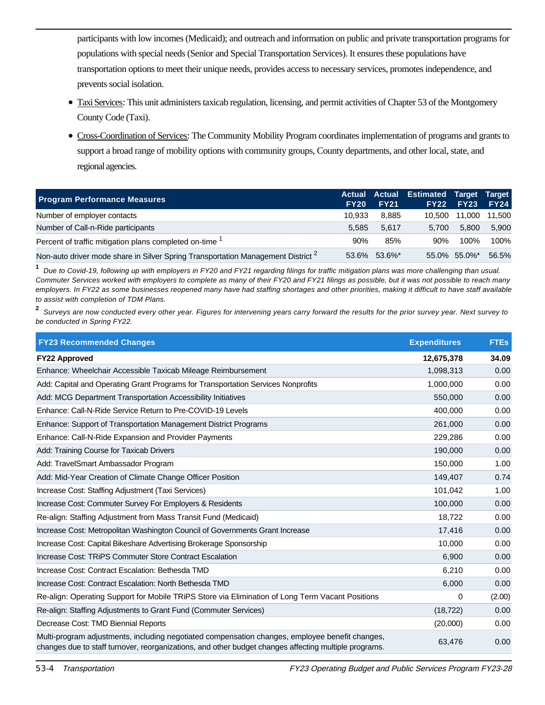participants with low incomes (Medicaid); and outreach and information on public and private transportation programs for populations with special needs (Senior and Special Transportation Services). It ensures these populations have transportation options to meet their unique needs, provides access to necessary services, promotes independence, and prevents social isolation.

- Taxi Services: This unit administers taxicab regulation, licensing, and permit activities of Chapter 53 of the Montgomery County Code (Taxi).
- Cross-Coordination of Services: The Community Mobility Program coordinates implementation of programs and grants to support a broad range of mobility options with community groups, County departments, and other local, state, and regional agencies.

| <b>Program Performance Measures</b>                                                         | FY <sub>20</sub> | <b>FY21</b>  | Actual Actual Estimated Target Target<br>FY22 | <b>FY23</b>   | <b>FY24</b> |
|---------------------------------------------------------------------------------------------|------------------|--------------|-----------------------------------------------|---------------|-------------|
| Number of employer contacts                                                                 | 10.933           | 8.885        | 10.500                                        | 11,000 11,500 |             |
| Number of Call-n-Ride participants                                                          | 5.585            | 5.617        | 5.700                                         | 5.800         | 5.900       |
| Percent of traffic mitigation plans completed on-time <sup>1</sup>                          | 90%              | 85%          | 90%                                           | 100%          | 100%        |
| Non-auto driver mode share in Silver Spring Transportation Management District <sup>2</sup> |                  | 53.6% 53.6%* |                                               | 55.0% 55.0%*  | 56.5%       |

**1** Due to Covid-19, following up with employers in FY20 and FY21 regarding filings for traffic mitigation plans was more challenging than usual. Commuter Services worked with employers to complete as many of their FY20 and FY21 filings as possible, but it was not possible to reach many employers. In FY22 as some businesses reopened many have had staffing shortages and other priorities, making it difficult to have staff available to assist with completion of TDM Plans.

**2** Surveys are now conducted every other year. Figures for intervening years carry forward the results for the prior survey year. Next survey to be conducted in Spring FY22.

| <b>FY23 Recommended Changes</b>                                                                                                                                                                          | <b>Expenditures</b> | <b>FTEs</b> |
|----------------------------------------------------------------------------------------------------------------------------------------------------------------------------------------------------------|---------------------|-------------|
| <b>FY22 Approved</b>                                                                                                                                                                                     | 12,675,378          | 34.09       |
| Enhance: Wheelchair Accessible Taxicab Mileage Reimbursement                                                                                                                                             | 1,098,313           | 0.00        |
| Add: Capital and Operating Grant Programs for Transportation Services Nonprofits                                                                                                                         | 1,000,000           | 0.00        |
| Add: MCG Department Transportation Accessibility Initiatives                                                                                                                                             | 550,000             | 0.00        |
| Enhance: Call-N-Ride Service Return to Pre-COVID-19 Levels                                                                                                                                               | 400,000             | 0.00        |
| Enhance: Support of Transportation Management District Programs                                                                                                                                          | 261,000             | 0.00        |
| Enhance: Call-N-Ride Expansion and Provider Payments                                                                                                                                                     | 229,286             | 0.00        |
| Add: Training Course for Taxicab Drivers                                                                                                                                                                 | 190,000             | 0.00        |
| Add: TravelSmart Ambassador Program                                                                                                                                                                      | 150,000             | 1.00        |
| Add: Mid-Year Creation of Climate Change Officer Position                                                                                                                                                | 149,407             | 0.74        |
| Increase Cost: Staffing Adjustment (Taxi Services)                                                                                                                                                       | 101,042             | 1.00        |
| Increase Cost: Commuter Survey For Employers & Residents                                                                                                                                                 | 100,000             | 0.00        |
| Re-align: Staffing Adjustment from Mass Transit Fund (Medicaid)                                                                                                                                          | 18,722              | 0.00        |
| Increase Cost: Metropolitan Washington Council of Governments Grant Increase                                                                                                                             | 17,416              | 0.00        |
| Increase Cost: Capital Bikeshare Advertising Brokerage Sponsorship                                                                                                                                       | 10,000              | 0.00        |
| Increase Cost: TRIPS Commuter Store Contract Escalation                                                                                                                                                  | 6,900               | 0.00        |
| Increase Cost: Contract Escalation: Bethesda TMD                                                                                                                                                         | 6,210               | 0.00        |
| Increase Cost: Contract Escalation: North Bethesda TMD                                                                                                                                                   | 6,000               | 0.00        |
| Re-align: Operating Support for Mobile TRiPS Store via Elimination of Long Term Vacant Positions                                                                                                         | 0                   | (2.00)      |
| Re-align: Staffing Adjustments to Grant Fund (Commuter Services)                                                                                                                                         | (18, 722)           | 0.00        |
| Decrease Cost: TMD Biennial Reports                                                                                                                                                                      | (20,000)            | 0.00        |
| Multi-program adjustments, including negotiated compensation changes, employee benefit changes,<br>changes due to staff turnover, reorganizations, and other budget changes affecting multiple programs. | 63,476              | 0.00        |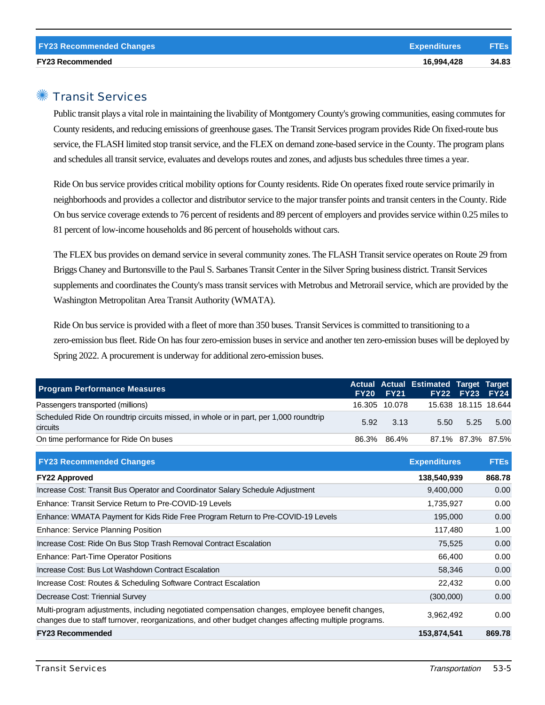## ✺ Transit Services

Public transit plays a vital role in maintaining the livability of Montgomery County's growing communities, easing commutes for County residents, and reducing emissions of greenhouse gases. The Transit Services program provides Ride On fixed-route bus service, the FLASH limited stop transit service, and the FLEX on demand zone-based service in the County. The program plans and schedules all transit service, evaluates and develops routes and zones, and adjusts bus schedules three times a year.

Ride On bus service provides critical mobility options for County residents. Ride On operates fixed route service primarily in neighborhoods and provides a collector and distributor service to the major transfer points and transit centers in the County. Ride On bus service coverage extends to 76 percent of residents and 89 percent of employers and provides service within 0.25 miles to 81 percent of low-income households and 86 percent of households without cars.

The FLEX bus provides on demand service in several community zones. The FLASH Transit service operates on Route 29 from Briggs Chaney and Burtonsville to the Paul S. Sarbanes Transit Center in the Silver Spring business district. Transit Services supplements and coordinates the County's mass transit services with Metrobus and Metrorail service, which are provided by the Washington Metropolitan Area Transit Authority (WMATA).

Ride On bus service is provided with a fleet of more than 350 buses. Transit Services is committed to transitioning to a zero-emission bus fleet. Ride On has four zero-emission buses in service and another ten zero-emission buses will be deployed by Spring 2022. A procurement is underway for additional zero-emission buses.

| <b>Program Performance Measures</b>                                                                      | <b>FY20 FY21</b>   | Actual Actual Estimated Target Target | <b>FY22 FY23 FY24</b> |      |
|----------------------------------------------------------------------------------------------------------|--------------------|---------------------------------------|-----------------------|------|
| Passengers transported (millions)                                                                        | 16.305 10.078      |                                       | 15.638 18.115 18.644  |      |
| Scheduled Ride On roundtrip circuits missed, in whole or in part, per 1,000 roundtrip<br><b>circuits</b> | $5.92 \qquad 3.13$ |                                       | 5.50 5.25             | 5.00 |
| On time performance for Ride On buses                                                                    | 86.3% 86.4%        |                                       | 87.1% 87.3% 87.5%     |      |

| <b>FY23 Recommended Changes</b>                                                                                                                                                                          | <b>Expenditures</b> | <b>FTEs</b> |
|----------------------------------------------------------------------------------------------------------------------------------------------------------------------------------------------------------|---------------------|-------------|
| <b>FY22 Approved</b>                                                                                                                                                                                     | 138,540,939         | 868.78      |
| Increase Cost: Transit Bus Operator and Coordinator Salary Schedule Adjustment                                                                                                                           | 9,400,000           | 0.00        |
| Enhance: Transit Service Return to Pre-COVID-19 Levels                                                                                                                                                   | 1,735,927           | 0.00        |
| Enhance: WMATA Payment for Kids Ride Free Program Return to Pre-COVID-19 Levels                                                                                                                          | 195,000             | 0.00        |
| <b>Enhance: Service Planning Position</b>                                                                                                                                                                | 117,480             | 1.00        |
| Increase Cost: Ride On Bus Stop Trash Removal Contract Escalation                                                                                                                                        | 75,525              | 0.00        |
| Enhance: Part-Time Operator Positions                                                                                                                                                                    | 66.400              | 0.00        |
| Increase Cost: Bus Lot Washdown Contract Escalation                                                                                                                                                      | 58,346              | 0.00        |
| Increase Cost: Routes & Scheduling Software Contract Escalation                                                                                                                                          | 22,432              | 0.00        |
| Decrease Cost: Triennial Survey                                                                                                                                                                          | (300,000)           | 0.00        |
| Multi-program adjustments, including negotiated compensation changes, employee benefit changes,<br>changes due to staff turnover, reorganizations, and other budget changes affecting multiple programs. | 3,962,492           | 0.00        |
| <b>FY23 Recommended</b>                                                                                                                                                                                  | 153,874,541         | 869.78      |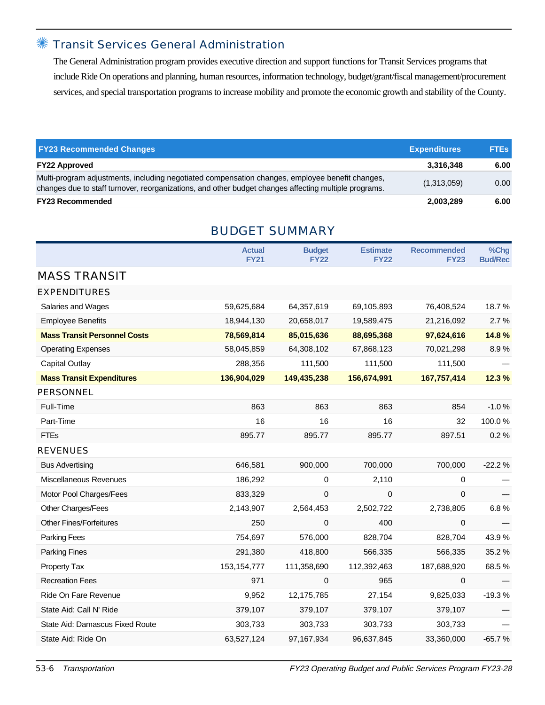## ✺ Transit Services General Administration

The General Administration program provides executive direction and support functions for Transit Services programs that include Ride On operations and planning, human resources, information technology, budget/grant/fiscal management/procurement services, and special transportation programs to increase mobility and promote the economic growth and stability of the County.

| <b>FY23 Recommended Changes</b>                                                                                                                                                                          | <b>Expenditures</b> | <b>FTEs</b> |
|----------------------------------------------------------------------------------------------------------------------------------------------------------------------------------------------------------|---------------------|-------------|
| <b>FY22 Approved</b>                                                                                                                                                                                     | 3.316.348           | 6.00        |
| Multi-program adjustments, including negotiated compensation changes, employee benefit changes,<br>changes due to staff turnover, reorganizations, and other budget changes affecting multiple programs. | (1,313,059)         | 0.00        |
| <b>FY23 Recommended</b>                                                                                                                                                                                  | 2,003,289           | 6.00        |

|                                     | <b>Actual</b><br><b>FY21</b> | <b>Budget</b><br><b>FY22</b> | <b>Estimate</b><br><b>FY22</b> | <b>Recommended</b><br><b>FY23</b> | %Chg<br><b>Bud/Rec</b> |
|-------------------------------------|------------------------------|------------------------------|--------------------------------|-----------------------------------|------------------------|
| <b>MASS TRANSIT</b>                 |                              |                              |                                |                                   |                        |
| <b>EXPENDITURES</b>                 |                              |                              |                                |                                   |                        |
| Salaries and Wages                  | 59,625,684                   | 64,357,619                   | 69,105,893                     | 76,408,524                        | 18.7%                  |
| <b>Employee Benefits</b>            | 18,944,130                   | 20,658,017                   | 19,589,475                     | 21,216,092                        | 2.7%                   |
| <b>Mass Transit Personnel Costs</b> | 78,569,814                   | 85,015,636                   | 88,695,368                     | 97,624,616                        | 14.8%                  |
| <b>Operating Expenses</b>           | 58,045,859                   | 64,308,102                   | 67,868,123                     | 70,021,298                        | 8.9%                   |
| Capital Outlay                      | 288,356                      | 111,500                      | 111,500                        | 111,500                           |                        |
| <b>Mass Transit Expenditures</b>    | 136,904,029                  | 149,435,238                  | 156,674,991                    | 167,757,414                       | 12.3%                  |
| <b>PERSONNEL</b>                    |                              |                              |                                |                                   |                        |
| Full-Time                           | 863                          | 863                          | 863                            | 854                               | $-1.0%$                |
| Part-Time                           | 16                           | 16                           | 16                             | 32                                | 100.0%                 |
| <b>FTEs</b>                         | 895.77                       | 895.77                       | 895.77                         | 897.51                            | 0.2%                   |
| <b>REVENUES</b>                     |                              |                              |                                |                                   |                        |
| <b>Bus Advertising</b>              | 646,581                      | 900,000                      | 700,000                        | 700,000                           | $-22.2%$               |
| Miscellaneous Revenues              | 186,292                      | 0                            | 2,110                          | $\Omega$                          |                        |
| Motor Pool Charges/Fees             | 833,329                      | $\overline{0}$               | 0                              | 0                                 |                        |
| Other Charges/Fees                  | 2,143,907                    | 2,564,453                    | 2,502,722                      | 2,738,805                         | 6.8%                   |
| <b>Other Fines/Forfeitures</b>      | 250                          | 0                            | 400                            | 0                                 |                        |
| Parking Fees                        | 754,697                      | 576,000                      | 828,704                        | 828,704                           | 43.9%                  |
| <b>Parking Fines</b>                | 291,380                      | 418,800                      | 566,335                        | 566,335                           | 35.2%                  |
| Property Tax                        | 153, 154, 777                | 111,358,690                  | 112,392,463                    | 187,688,920                       | 68.5%                  |
| <b>Recreation Fees</b>              | 971                          | 0                            | 965                            | 0                                 |                        |
| Ride On Fare Revenue                | 9,952                        | 12,175,785                   | 27,154                         | 9,825,033                         | $-19.3%$               |
| State Aid: Call N' Ride             | 379,107                      | 379,107                      | 379,107                        | 379,107                           |                        |
| State Aid: Damascus Fixed Route     | 303,733                      | 303,733                      | 303,733                        | 303,733                           |                        |
| State Aid: Ride On                  | 63,527,124                   | 97,167,934                   | 96,637,845                     | 33,360,000                        | $-65.7%$               |
|                                     |                              |                              |                                |                                   |                        |

## BUDGET SUMMARY

53-6 Transportation FY23 Operating Budget and Public Services Program FY23-28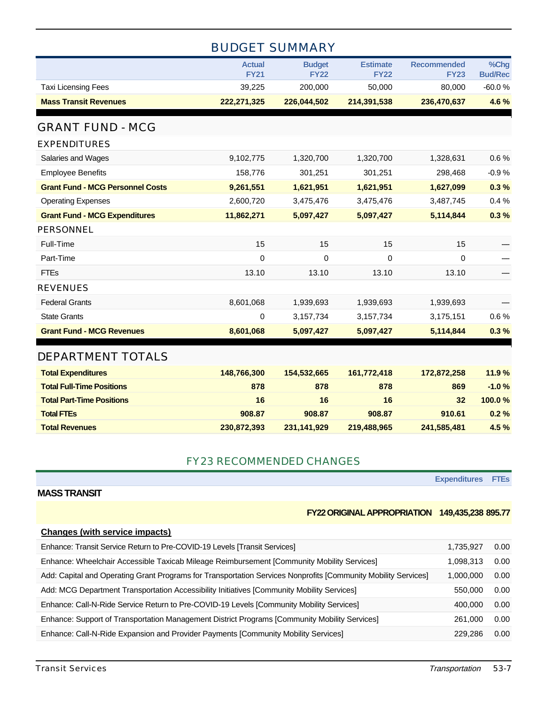## BUDGET SUMMARY

|                                         | <b>Actual</b><br><b>FY21</b> | <b>Budget</b><br><b>FY22</b> | <b>Estimate</b><br><b>FY22</b> | <b>Recommended</b><br><b>FY23</b> | %Chg<br><b>Bud/Rec</b> |
|-----------------------------------------|------------------------------|------------------------------|--------------------------------|-----------------------------------|------------------------|
| <b>Taxi Licensing Fees</b>              | 39,225                       | 200,000                      | 50,000                         | 80,000                            | $-60.0%$               |
| <b>Mass Transit Revenues</b>            | 222,271,325                  | 226,044,502                  | 214,391,538                    | 236,470,637                       | 4.6%                   |
|                                         |                              |                              |                                |                                   |                        |
| <b>GRANT FUND - MCG</b>                 |                              |                              |                                |                                   |                        |
| <b>EXPENDITURES</b>                     |                              |                              |                                |                                   |                        |
| Salaries and Wages                      | 9,102,775                    | 1,320,700                    | 1,320,700                      | 1,328,631                         | 0.6%                   |
| <b>Employee Benefits</b>                | 158,776                      | 301,251                      | 301,251                        | 298,468                           | $-0.9%$                |
| <b>Grant Fund - MCG Personnel Costs</b> | 9,261,551                    | 1,621,951                    | 1,621,951                      | 1,627,099                         | 0.3%                   |
| <b>Operating Expenses</b>               | 2,600,720                    | 3,475,476                    | 3,475,476                      | 3,487,745                         | 0.4%                   |
| <b>Grant Fund - MCG Expenditures</b>    | 11,862,271                   | 5,097,427                    | 5,097,427                      | 5,114,844                         | 0.3%                   |
| <b>PERSONNEL</b>                        |                              |                              |                                |                                   |                        |
| Full-Time                               | 15                           | 15                           | 15                             | 15                                |                        |
| Part-Time                               | $\mathbf 0$                  | 0                            | 0                              | 0                                 |                        |
| <b>FTEs</b>                             | 13.10                        | 13.10                        | 13.10                          | 13.10                             |                        |
| <b>REVENUES</b>                         |                              |                              |                                |                                   |                        |
| <b>Federal Grants</b>                   | 8,601,068                    | 1,939,693                    | 1,939,693                      | 1,939,693                         |                        |
| <b>State Grants</b>                     | 0                            | 3,157,734                    | 3,157,734                      | 3,175,151                         | 0.6%                   |
| <b>Grant Fund - MCG Revenues</b>        | 8,601,068                    | 5,097,427                    | 5,097,427                      | 5,114,844                         | 0.3%                   |
|                                         |                              |                              |                                |                                   |                        |
| <b>DEPARTMENT TOTALS</b>                |                              |                              |                                |                                   |                        |
| <b>Total Expenditures</b>               | 148,766,300                  | 154,532,665                  | 161,772,418                    | 172,872,258                       | 11.9%                  |
| <b>Total Full-Time Positions</b>        | 878                          | 878                          | 878                            | 869                               | $-1.0%$                |
| <b>Total Part-Time Positions</b>        | 16                           | 16                           | 16                             | 32                                | 100.0%                 |
| <b>Total FTEs</b>                       | 908.87                       | 908.87                       | 908.87                         | 910.61                            | 0.2%                   |
| <b>Total Revenues</b>                   | 230,872,393                  | 231,141,929                  | 219,488,965                    | 241,585,481                       | 4.5%                   |

#### FY23 RECOMMENDED CHANGES

**Expenditures FTEs**

#### **FY22 ORIGINAL APPROPRIATION 149,435,238 895.77**

#### **Changes (with service impacts)**

| Enhance: Transit Service Return to Pre-COVID-19 Levels [Transit Services]                                      | 1.735.927 | 0.00 |
|----------------------------------------------------------------------------------------------------------------|-----------|------|
| Enhance: Wheelchair Accessible Taxicab Mileage Reimbursement [Community Mobility Services]                     | 1.098.313 | 0.00 |
| Add: Capital and Operating Grant Programs for Transportation Services Nonprofits [Community Mobility Services] | 1.000.000 | 0.00 |
| Add: MCG Department Transportation Accessibility Initiatives [Community Mobility Services]                     | 550,000   | 0.00 |
| Enhance: Call-N-Ride Service Return to Pre-COVID-19 Levels [Community Mobility Services]                       | 400.000   | 0.00 |
| Enhance: Support of Transportation Management District Programs [Community Mobility Services]                  | 261.000   | 0.00 |
| Enhance: Call-N-Ride Expansion and Provider Payments [Community Mobility Services]                             | 229.286   | 0.00 |

**MASS TRANSIT**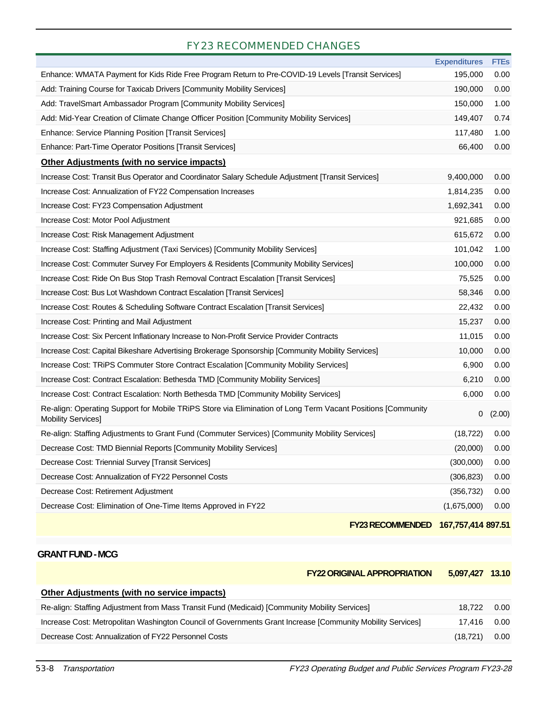## FY23 RECOMMENDED CHANGES

|                                                                                                                                          | <b>Expenditures</b> | <b>FTEs</b> |
|------------------------------------------------------------------------------------------------------------------------------------------|---------------------|-------------|
| Enhance: WMATA Payment for Kids Ride Free Program Return to Pre-COVID-19 Levels [Transit Services]                                       | 195,000             | 0.00        |
| Add: Training Course for Taxicab Drivers [Community Mobility Services]                                                                   | 190,000             | 0.00        |
| Add: TravelSmart Ambassador Program [Community Mobility Services]                                                                        | 150,000             | 1.00        |
| Add: Mid-Year Creation of Climate Change Officer Position [Community Mobility Services]                                                  | 149,407             | 0.74        |
| Enhance: Service Planning Position [Transit Services]                                                                                    | 117,480             | 1.00        |
| Enhance: Part-Time Operator Positions [Transit Services]                                                                                 | 66,400              | 0.00        |
| <b>Other Adjustments (with no service impacts)</b>                                                                                       |                     |             |
| Increase Cost: Transit Bus Operator and Coordinator Salary Schedule Adjustment [Transit Services]                                        | 9,400,000           | 0.00        |
| Increase Cost: Annualization of FY22 Compensation Increases                                                                              | 1,814,235           | 0.00        |
| Increase Cost: FY23 Compensation Adjustment                                                                                              | 1,692,341           | 0.00        |
| Increase Cost: Motor Pool Adjustment                                                                                                     | 921,685             | 0.00        |
| Increase Cost: Risk Management Adjustment                                                                                                | 615,672             | 0.00        |
| Increase Cost: Staffing Adjustment (Taxi Services) [Community Mobility Services]                                                         | 101,042             | 1.00        |
| Increase Cost: Commuter Survey For Employers & Residents [Community Mobility Services]                                                   | 100,000             | 0.00        |
| Increase Cost: Ride On Bus Stop Trash Removal Contract Escalation [Transit Services]                                                     | 75,525              | 0.00        |
| Increase Cost: Bus Lot Washdown Contract Escalation [Transit Services]                                                                   | 58,346              | 0.00        |
| Increase Cost: Routes & Scheduling Software Contract Escalation [Transit Services]                                                       | 22,432              | 0.00        |
| Increase Cost: Printing and Mail Adjustment                                                                                              | 15,237              | 0.00        |
| Increase Cost: Six Percent Inflationary Increase to Non-Profit Service Provider Contracts                                                | 11,015              | 0.00        |
| Increase Cost: Capital Bikeshare Advertising Brokerage Sponsorship [Community Mobility Services]                                         | 10,000              | 0.00        |
| Increase Cost: TRIPS Commuter Store Contract Escalation [Community Mobility Services]                                                    | 6,900               | 0.00        |
| Increase Cost: Contract Escalation: Bethesda TMD [Community Mobility Services]                                                           | 6,210               | 0.00        |
| Increase Cost: Contract Escalation: North Bethesda TMD [Community Mobility Services]                                                     | 6,000               | 0.00        |
| Re-align: Operating Support for Mobile TRiPS Store via Elimination of Long Term Vacant Positions [Community<br><b>Mobility Services]</b> | 0                   | (2.00)      |
| Re-align: Staffing Adjustments to Grant Fund (Commuter Services) [Community Mobility Services]                                           | (18, 722)           | 0.00        |
| Decrease Cost: TMD Biennial Reports [Community Mobility Services]                                                                        | (20,000)            | 0.00        |
| Decrease Cost: Triennial Survey [Transit Services]                                                                                       | (300,000)           | 0.00        |
| Decrease Cost: Annualization of FY22 Personnel Costs                                                                                     | (306, 823)          | 0.00        |
| Decrease Cost: Retirement Adjustment                                                                                                     | (356, 732)          | 0.00        |
| Decrease Cost: Elimination of One-Time Items Approved in FY22                                                                            | (1,675,000)         | 0.00        |
|                                                                                                                                          |                     |             |

**FY23 RECOMMENDED 167,757,414 897.51**

#### **GRANT FUND - MCG**

| <b>FY22 ORIGINAL APPROPRIATION</b> | 5,097,427 13.10 |  |
|------------------------------------|-----------------|--|
|                                    |                 |  |

| Other Adjustments (with no service impacts)                                                                |             |      |
|------------------------------------------------------------------------------------------------------------|-------------|------|
| Re-align: Staffing Adjustment from Mass Transit Fund (Medicaid) [Community Mobility Services]              | 18.722      | 0.00 |
| Increase Cost: Metropolitan Washington Council of Governments Grant Increase [Community Mobility Services] | 17.416 0.00 |      |
| Decrease Cost: Annualization of FY22 Personnel Costs                                                       | (18.721)    | 0.00 |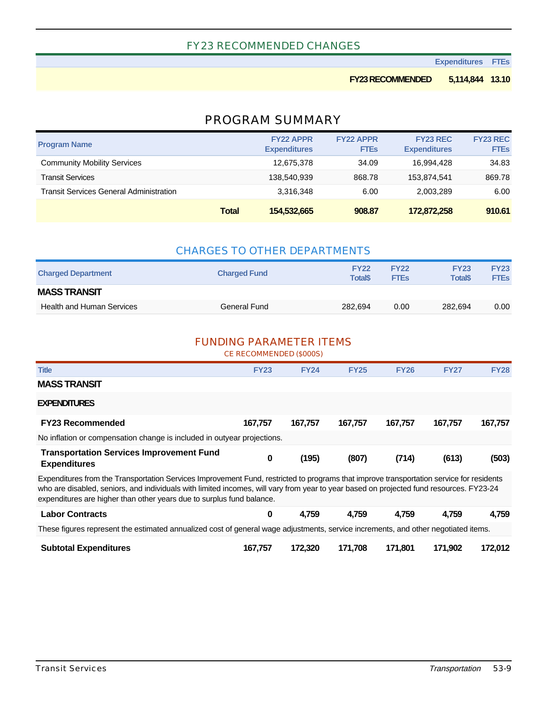#### FY23 RECOMMENDED CHANGES

**Expenditures FTEs**

#### **FY23 RECOMMENDED 5,114,844 13.10**

### PROGRAM SUMMARY

| <b>Program Name</b>                            |              | <b>FY22 APPR</b><br><b>Expenditures</b> | <b>FY22 APPR</b><br><b>FTEs</b> | <b>FY23 REC</b><br><b>Expenditures</b> | <b>FY23 REC</b><br><b>FTEs</b> |
|------------------------------------------------|--------------|-----------------------------------------|---------------------------------|----------------------------------------|--------------------------------|
| <b>Community Mobility Services</b>             |              | 12,675,378                              | 34.09                           | 16.994.428                             | 34.83                          |
| <b>Transit Services</b>                        |              | 138.540.939                             | 868.78                          | 153.874.541                            | 869.78                         |
| <b>Transit Services General Administration</b> |              | 3,316,348                               | 6.00                            | 2,003,289                              | 6.00                           |
|                                                | <b>Total</b> | 154,532,665                             | 908.87                          | 172,872,258                            | 910.61                         |

| <b>CHARGES TO OTHER DEPARTMENTS</b> |                     |                                |                            |                                           |                            |  |  |  |  |
|-------------------------------------|---------------------|--------------------------------|----------------------------|-------------------------------------------|----------------------------|--|--|--|--|
| <b>Charged Department</b>           | <b>Charged Fund</b> | <b>FY22</b><br><b>Total</b> \$ | <b>FY22</b><br><b>FTEs</b> | <b>FY23</b><br><b>Total</b> <sup>\$</sup> | <b>FY23</b><br><b>FTEs</b> |  |  |  |  |
| <b>MASS TRANSIT</b>                 |                     |                                |                            |                                           |                            |  |  |  |  |
| <b>Health and Human Services</b>    | General Fund        | 282.694                        | 0.00                       | 282.694                                   | 0.00                       |  |  |  |  |

#### FUNDING PARAMETER ITEMS

CE RECOMMENDED (\$000S)

| <b>Title</b>                                                                                                                                                                                                                                                                                                                                                 | <b>FY23</b> | <b>FY24</b> | <b>FY25</b> | <b>FY26</b> | <b>FY27</b> | <b>FY28</b> |  |  |  |  |
|--------------------------------------------------------------------------------------------------------------------------------------------------------------------------------------------------------------------------------------------------------------------------------------------------------------------------------------------------------------|-------------|-------------|-------------|-------------|-------------|-------------|--|--|--|--|
| <b>MASS TRANSIT</b>                                                                                                                                                                                                                                                                                                                                          |             |             |             |             |             |             |  |  |  |  |
| <b>EXPENDITURES</b>                                                                                                                                                                                                                                                                                                                                          |             |             |             |             |             |             |  |  |  |  |
| <b>FY23 Recommended</b>                                                                                                                                                                                                                                                                                                                                      | 167,757     | 167,757     | 167,757     | 167.757     | 167,757     | 167,757     |  |  |  |  |
| No inflation or compensation change is included in outyear projections.                                                                                                                                                                                                                                                                                      |             |             |             |             |             |             |  |  |  |  |
| <b>Transportation Services Improvement Fund</b><br><b>Expenditures</b>                                                                                                                                                                                                                                                                                       | 0           | (195)       | (807)       | (714)       | (613)       | (503)       |  |  |  |  |
| Expenditures from the Transportation Services Improvement Fund, restricted to programs that improve transportation service for residents<br>who are disabled, seniors, and individuals with limited incomes, will vary from year to year based on projected fund resources. FY23-24<br>expenditures are higher than other years due to surplus fund balance. |             |             |             |             |             |             |  |  |  |  |
| <b>Labor Contracts</b>                                                                                                                                                                                                                                                                                                                                       | $\bf{0}$    | 4,759       | 4.759       | 4,759       | 4,759       | 4,759       |  |  |  |  |
| These figures represent the estimated annualized cost of general wage adjustments, service increments, and other negotiated items.                                                                                                                                                                                                                           |             |             |             |             |             |             |  |  |  |  |
| <b>Subtotal Expenditures</b>                                                                                                                                                                                                                                                                                                                                 | 167,757     | 172,320     | 171.708     | 171.801     | 171,902     | 172,012     |  |  |  |  |